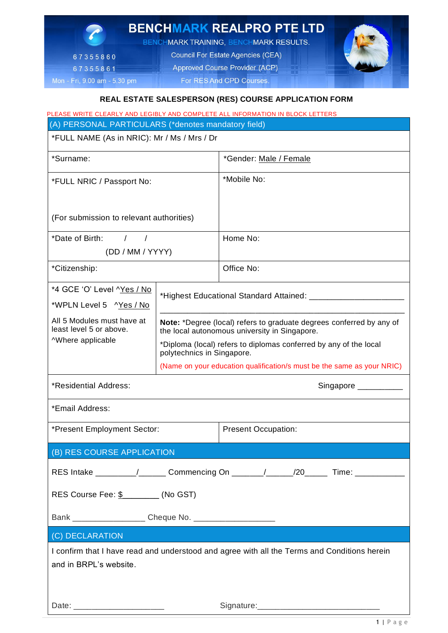

| (A) PERSONAL PARTICULARS (*denotes mandatory field)                                          |                                                                                                                       |                            |  |
|----------------------------------------------------------------------------------------------|-----------------------------------------------------------------------------------------------------------------------|----------------------------|--|
| *FULL NAME (As in NRIC): Mr / Ms / Mrs / Dr                                                  |                                                                                                                       |                            |  |
| *Surname:                                                                                    |                                                                                                                       | *Gender: Male / Female     |  |
| *FULL NRIC / Passport No:                                                                    |                                                                                                                       | *Mobile No:                |  |
|                                                                                              |                                                                                                                       |                            |  |
| (For submission to relevant authorities)                                                     |                                                                                                                       |                            |  |
| *Date of Birth: $/$ /                                                                        |                                                                                                                       | Home No:                   |  |
| (DD / MM / YYYY)                                                                             |                                                                                                                       |                            |  |
| *Citizenship:                                                                                |                                                                                                                       | Office No:                 |  |
| *4 GCE 'O' Level ^Yes / No                                                                   | *Highest Educational Standard Attained: ________________________                                                      |                            |  |
| *WPLN Level 5 ^Yes / No                                                                      |                                                                                                                       |                            |  |
| All 5 Modules must have at<br>least level 5 or above.<br>^Where applicable                   | Note: *Degree (local) refers to graduate degrees conferred by any of<br>the local autonomous university in Singapore. |                            |  |
|                                                                                              | *Diploma (local) refers to diplomas conferred by any of the local<br>polytechnics in Singapore.                       |                            |  |
|                                                                                              | (Name on your education qualification/s must be the same as your NRIC)                                                |                            |  |
| *Residential Address:                                                                        |                                                                                                                       | Singapore $\frac{1}{2}$    |  |
| *Email Address:                                                                              |                                                                                                                       |                            |  |
| *Present Employment Sector:                                                                  |                                                                                                                       | <b>Present Occupation:</b> |  |
| (B) RES COURSE APPLICATION                                                                   |                                                                                                                       |                            |  |
| RES Intake _________/_______ Commencing On _______/_____/20______ Time: _________            |                                                                                                                       |                            |  |
| RES Course Fee: \$ _______ (No GST)                                                          |                                                                                                                       |                            |  |
|                                                                                              |                                                                                                                       |                            |  |
| (C) DECLARATION                                                                              |                                                                                                                       |                            |  |
| I confirm that I have read and understood and agree with all the Terms and Conditions herein |                                                                                                                       |                            |  |
| and in BRPL's website.                                                                       |                                                                                                                       |                            |  |
|                                                                                              |                                                                                                                       |                            |  |
|                                                                                              |                                                                                                                       |                            |  |

Date: \_\_\_\_\_\_\_\_\_\_\_\_\_\_\_\_\_\_\_\_ Signature:\_\_\_\_\_\_\_\_\_\_\_\_\_\_\_\_\_\_\_\_\_\_\_\_\_\_\_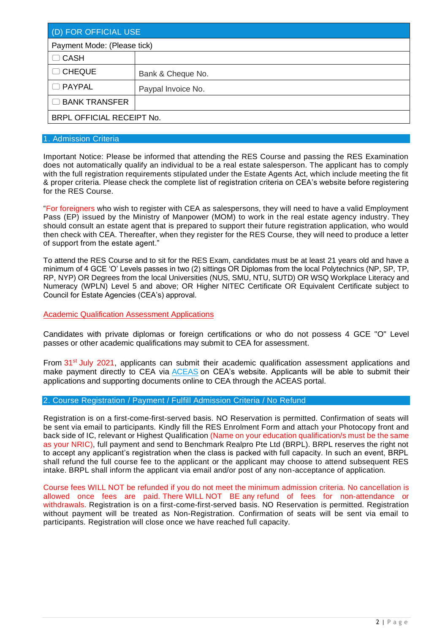| (D) FOR OFFICIAL USE        |                    |  |
|-----------------------------|--------------------|--|
| Payment Mode: (Please tick) |                    |  |
| $\Box$ CASH                 |                    |  |
| $\Box$ CHEQUE               | Bank & Cheque No.  |  |
| $\Box$ PAYPAL               | Paypal Invoice No. |  |
| □ BANK TRANSFER             |                    |  |
| BRPL OFFICIAL RECEIPT No.   |                    |  |

# 1. Admission Criteria

Important Notice: Please be informed that attending the RES Course and passing the RES Examination does not automatically qualify an individual to be a real estate salesperson. The applicant has to comply with the full registration requirements stipulated under the Estate Agents Act, which include meeting the fit & proper criteria. Please check the complete list of registration criteria on CEA's website before registering for the RES Course.

"For foreigners who wish to register with CEA as salespersons, they will need to have a valid Employment Pass (EP) issued by the Ministry of Manpower (MOM) to work in the real estate agency industry. They should consult an estate agent that is prepared to support their future registration application, who would then check with CEA. Thereafter, when they register for the RES Course, they will need to produce a letter of support from the estate agent."

To attend the RES Course and to sit for the RES Exam, candidates must be at least 21 years old and have a minimum of 4 GCE 'O' Levels passes in two (2) sittings OR Diplomas from the local Polytechnics (NP, SP, TP, RP, NYP) OR Degrees from the local Universities (NUS, SMU, NTU, SUTD) OR WSQ Workplace Literacy and Numeracy (WPLN) Level 5 and above; OR Higher NITEC Certificate OR Equivalent Certificate subject to Council for Estate Agencies (CEA's) approval.

Academic Qualification Assessment Applications

Candidates with private diplomas or foreign certifications or who do not possess 4 GCE "O" Level passes or other academic qualifications may submit to CEA for assessment.

From  $31<sup>st</sup>$  July 2021, applicants can submit their academic qualification assessment applications and make payment directly to CEA via [ACEAS](https://www.cea.gov.sg/aceas/auth/realms/aceas-prd/protocol/openid-connect/auth?client_id=aceas-prd&redirect_uri=https%3A%2F%2Fwww.cea.gov.sg%2Faceas%2Foidccallback&response_type=code&scope=openid&state=60cdadd717e046c7b7a61b06c81108a5&code_challenge=zudQTKYiIJRlTv47a7JglO3QiNvGJ2YDA-G1XWZp7DE&code_challenge_method=S256&response_mode=fragment) on CEA's website. Applicants will be able to submit their applications and supporting documents online to CEA through the ACEAS portal.

# 2. Course Registration / Payment / Fulfill Admission Criteria / No Refund

Registration is on a first-come-first-served basis. NO Reservation is permitted. Confirmation of seats will be sent via email to participants. Kindly fill the RES Enrolment Form and attach your Photocopy front and back side of IC, relevant or Highest Qualification (Name on your education qualification/s must be the same as your NRIC), full payment and send to Benchmark Realpro Pte Ltd (BRPL). BRPL reserves the right not to accept any applicant's registration when the class is packed with full capacity. In such an event, BRPL shall refund the full course fee to the applicant or the applicant may choose to attend subsequent RES intake. BRPL shall inform the applicant via email and/or post of any non-acceptance of application.

Course fees WILL NOT be refunded if you do not meet the minimum admission criteria. No cancellation is allowed once fees are paid. There WILL NOT BE any refund of fees for non-attendance or withdrawals. Registration is on a first-come-first-served basis. NO Reservation is permitted. Registration without payment will be treated as Non-Registration. Confirmation of seats will be sent via email to participants. Registration will close once we have reached full capacity.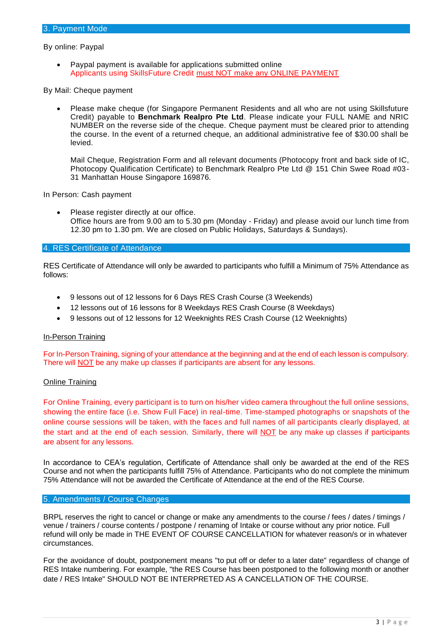### By online: Paypal

• Paypal payment is available for applications submitted online Applicants using SkillsFuture Credit must NOT make any ONLINE PAYMENT

#### By Mail: Cheque payment

• Please make cheque (for Singapore Permanent Residents and all who are not using Skillsfuture Credit) payable to **Benchmark Realpro Pte Ltd**. Please indicate your FULL NAME and NRIC NUMBER on the reverse side of the cheque. Cheque payment must be cleared prior to attending the course. In the event of a returned cheque, an additional administrative fee of \$30.00 shall be levied.

Mail Cheque, Registration Form and all relevant documents (Photocopy front and back side of IC, Photocopy Qualification Certificate) to Benchmark Realpro Pte Ltd @ 151 Chin Swee Road #03- 31 Manhattan House Singapore 169876.

#### In Person: Cash payment

Please register directly at our office. Office hours are from 9.00 am to 5.30 pm (Monday - Friday) and please avoid our lunch time from 12.30 pm to 1.30 pm. We are closed on Public Holidays, Saturdays & Sundays).

# 4. RES Certificate of Attendance

RES Certificate of Attendance will only be awarded to participants who fulfill a Minimum of 75% Attendance as follows:

- 9 lessons out of 12 lessons for 6 Days RES Crash Course (3 Weekends)
- 12 lessons out of 16 lessons for 8 Weekdays RES Crash Course (8 Weekdays)
- 9 lessons out of 12 lessons for 12 Weeknights RES Crash Course (12 Weeknights)

#### In-Person Training

For In-Person Training, signing of your attendance at the beginning and at the end of each lesson is compulsory. There will NOT be any make up classes if participants are absent for any lessons.

#### Online Training

For Online Training, every participant is to turn on his/her video camera throughout the full online sessions, showing the entire face (i.e. Show Full Face) in real-time. Time-stamped photographs or snapshots of the online course sessions will be taken, with the faces and full names of all participants clearly displayed, at the start and at the end of each session. Similarly, there will NOT be any make up classes if participants are absent for any lessons.

In accordance to CEA's regulation, Certificate of Attendance shall only be awarded at the end of the RES Course and not when the participants fulfill 75% of Attendance. Participants who do not complete the minimum 75% Attendance will not be awarded the Certificate of Attendance at the end of the RES Course.

### 5. Amendments / Course Changes

BRPL reserves the right to cancel or change or make any amendments to the course / fees / dates / timings / venue / trainers / course contents / postpone / renaming of Intake or course without any prior notice. Full refund will only be made in THE EVENT OF COURSE CANCELLATION for whatever reason/s or in whatever circumstances.

For the avoidance of doubt, postponement means "to put off or defer to a later date" regardless of change of RES Intake numbering. For example, "the RES Course has been postponed to the following month or another date / RES Intake" SHOULD NOT BE INTERPRETED AS A CANCELLATION OF THE COURSE.